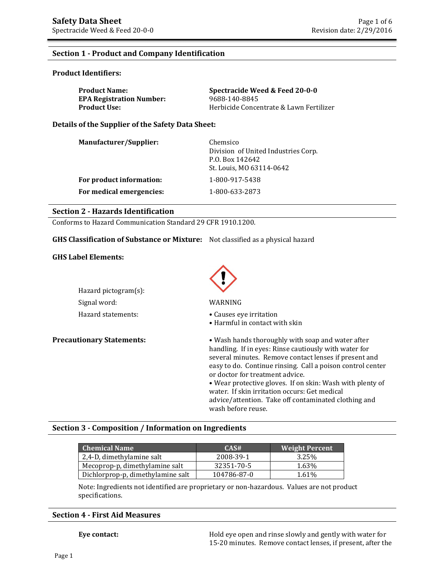### **Section 1 - Product and Company Identification**

#### **Product Identifiers:**

| <b>Product Name:</b>            | Spectracide Weed & Feed 20-0-0          |
|---------------------------------|-----------------------------------------|
| <b>EPA Registration Number:</b> | 9688-140-8845                           |
| <b>Product Use:</b>             | Herbicide Concentrate & Lawn Fertilizer |

**Details of the Supplier of the Safety Data Sheet:** 

| Manufacturer/Supplier:   | Chemsico<br>Division of United Industries Corp.<br>P.O. Box 142642<br>St. Louis, MO 63114-0642 |
|--------------------------|------------------------------------------------------------------------------------------------|
| For product information: | 1-800-917-5438                                                                                 |
| For medical emergencies: | 1-800-633-2873                                                                                 |

#### **Section 2 - Hazards Identification**

Conforms to Hazard Communication Standard 29 CFR 1910.1200.

#### **GHS Classification of Substance or Mixture:** Not classified as a physical hazard

#### **GHS Label Elements:**

| Hazard pictogram(s): |                     |
|----------------------|---------------------|
| Signal word:         | WARNING             |
| Hazard statements:   | $\bullet$ Causes ey |



- Hazard statements: Causes eye irritation
	- Harmful in contact with skin

**Precautionary Statements:** • Wash hands thoroughly with soap and water after handling. If in eyes: Rinse cautiously with water for several minutes. Remove contact lenses if present and easy to do. Continue rinsing. Call a poison control center or doctor for treatment advice. • Wear protective gloves. If on skin: Wash with plenty of water. If skin irritation occurs: Get medical

advice/attention. Take off contaminated clothing and wash before reuse.

## **Section 3 - Composition / Information on Ingredients**

| <b>Chemical Name</b>              | CAS#        | <b>Weight Percent</b> |
|-----------------------------------|-------------|-----------------------|
| 2,4-D, dimethylamine salt         | 2008-39-1   | 3.25%                 |
| Mecoprop-p, dimethylamine salt    | 32351-70-5  | 1.63%                 |
| Dichlorprop-p, dimethylamine salt | 104786-87-0 | 1.61%                 |

Note: Ingredients not identified are proprietary or non-hazardous. Values are not product specifications.

### **Section 4 - First Aid Measures**

**Eye contact: Exercise 3** Hold eye open and rinse slowly and gently with water for 15-20 minutes. Remove contact lenses, if present, after the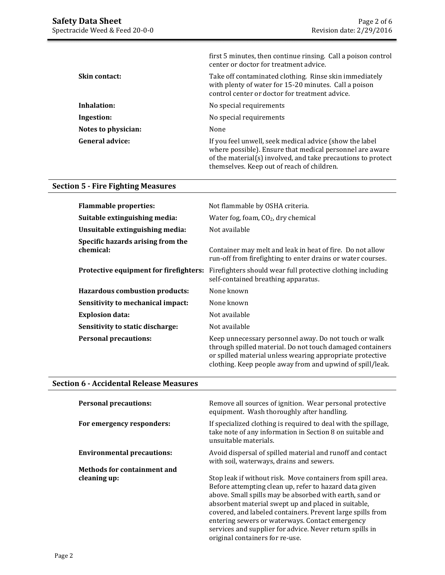|                        | first 5 minutes, then continue rinsing. Call a poison control<br>center or doctor for treatment advice.                                                                                                                           |
|------------------------|-----------------------------------------------------------------------------------------------------------------------------------------------------------------------------------------------------------------------------------|
| <b>Skin contact:</b>   | Take off contaminated clothing. Rinse skin immediately<br>with plenty of water for 15-20 minutes. Call a poison<br>control center or doctor for treatment advice.                                                                 |
| Inhalation:            | No special requirements                                                                                                                                                                                                           |
| Ingestion:             | No special requirements                                                                                                                                                                                                           |
| Notes to physician:    | None                                                                                                                                                                                                                              |
| <b>General advice:</b> | If you feel unwell, seek medical advice (show the label<br>where possible). Ensure that medical personnel are aware<br>of the material(s) involved, and take precautions to protect<br>themselves. Keep out of reach of children. |

# **Section 5 - Fire Fighting Measures**

| <b>Flammable properties:</b>                   | Not flammable by OSHA criteria.                                                                                                                                                                                                              |
|------------------------------------------------|----------------------------------------------------------------------------------------------------------------------------------------------------------------------------------------------------------------------------------------------|
| Suitable extinguishing media:                  | Water fog, foam, $CO2$ , dry chemical                                                                                                                                                                                                        |
| Unsuitable extinguishing media:                | Not available                                                                                                                                                                                                                                |
| Specific hazards arising from the<br>chemical: | Container may melt and leak in heat of fire. Do not allow<br>run-off from firefighting to enter drains or water courses.                                                                                                                     |
| Protective equipment for firefighters:         | Firefighters should wear full protective clothing including<br>self-contained breathing apparatus.                                                                                                                                           |
| <b>Hazardous combustion products:</b>          | None known                                                                                                                                                                                                                                   |
| Sensitivity to mechanical impact:              | None known                                                                                                                                                                                                                                   |
| <b>Explosion data:</b>                         | Not available                                                                                                                                                                                                                                |
| Sensitivity to static discharge:               | Not available                                                                                                                                                                                                                                |
| <b>Personal precautions:</b>                   | Keep unnecessary personnel away. Do not touch or walk<br>through spilled material. Do not touch damaged containers<br>or spilled material unless wearing appropriate protective<br>clothing. Keep people away from and upwind of spill/leak. |

## **Section 6 - Accidental Release Measures**

| <b>Personal precautions:</b>       | Remove all sources of ignition. Wear personal protective<br>equipment. Wash thoroughly after handling.                                                                                                                                                                                                                                                                                                                                                  |
|------------------------------------|---------------------------------------------------------------------------------------------------------------------------------------------------------------------------------------------------------------------------------------------------------------------------------------------------------------------------------------------------------------------------------------------------------------------------------------------------------|
| For emergency responders:          | If specialized clothing is required to deal with the spillage,<br>take note of any information in Section 8 on suitable and<br>unsuitable materials.                                                                                                                                                                                                                                                                                                    |
| <b>Environmental precautions:</b>  | Avoid dispersal of spilled material and runoff and contact<br>with soil, waterways, drains and sewers.                                                                                                                                                                                                                                                                                                                                                  |
| <b>Methods for containment and</b> |                                                                                                                                                                                                                                                                                                                                                                                                                                                         |
| cleaning up:                       | Stop leak if without risk. Move containers from spill area.<br>Before attempting clean up, refer to hazard data given<br>above. Small spills may be absorbed with earth, sand or<br>absorbent material swept up and placed in suitable,<br>covered, and labeled containers. Prevent large spills from<br>entering sewers or waterways. Contact emergency<br>services and supplier for advice. Never return spills in<br>original containers for re-use. |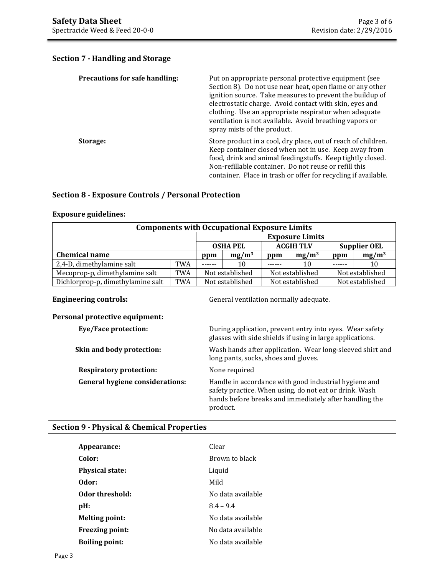# **Section 7 - Handling and Storage**

| Precautions for safe handling: | Put on appropriate personal protective equipment (see<br>Section 8). Do not use near heat, open flame or any other<br>ignition source. Take measures to prevent the buildup of<br>electrostatic charge. Avoid contact with skin, eyes and<br>clothing. Use an appropriate respirator when adequate<br>ventilation is not available. Avoid breathing vapors or<br>spray mists of the product. |
|--------------------------------|----------------------------------------------------------------------------------------------------------------------------------------------------------------------------------------------------------------------------------------------------------------------------------------------------------------------------------------------------------------------------------------------|
| Storage:                       | Store product in a cool, dry place, out of reach of children.<br>Keep container closed when not in use. Keep away from<br>food, drink and animal feedingstuffs. Keep tightly closed.<br>Non-refillable container. Do not reuse or refill this<br>container. Place in trash or offer for recycling if available.                                                                              |

## **Section 8 - Exposure Controls / Personal Protection**

#### **Exposure guidelines:**

| <b>Components with Occupational Exposure Limits</b> |                        |                 |                                     |     |                     |     |                 |
|-----------------------------------------------------|------------------------|-----------------|-------------------------------------|-----|---------------------|-----|-----------------|
|                                                     | <b>Exposure Limits</b> |                 |                                     |     |                     |     |                 |
|                                                     |                        |                 | <b>ACGIH TLV</b><br><b>OSHA PEL</b> |     | <b>Supplier OEL</b> |     |                 |
| <b>Chemical name</b>                                |                        | $mg/m^3$<br>ppm |                                     | ppm | $mg/m^3$            | ppm | $mg/m^3$        |
| 2,4-D, dimethylamine salt                           | <b>TWA</b>             | .               | 10                                  |     | 10                  |     | 10              |
| Mecoprop-p, dimethylamine salt                      | <b>TWA</b>             |                 | Not established                     |     | Not established     |     | Not established |
| Dichlorprop-p, dimethylamine salt                   | <b>TWA</b>             | Not established |                                     |     | Not established     |     | Not established |

**Engineering controls: Controls: General ventilation normally adequate.** 

# **Personal protective equipment:**

| Eye/Face protection:                   | During application, prevent entry into eyes. Wear safety<br>glasses with side shields if using in large applications.                                                                 |
|----------------------------------------|---------------------------------------------------------------------------------------------------------------------------------------------------------------------------------------|
| Skin and body protection:              | Wash hands after application. Wear long-sleeved shirt and<br>long pants, socks, shoes and gloves.                                                                                     |
| <b>Respiratory protection:</b>         | None required                                                                                                                                                                         |
| <b>General hygiene considerations:</b> | Handle in accordance with good industrial hygiene and<br>safety practice. When using, do not eat or drink. Wash<br>hands before breaks and immediately after handling the<br>product. |

## **Section 9 - Physical & Chemical Properties**

| Appearance:            | Clear             |
|------------------------|-------------------|
| Color:                 | Brown to black    |
| <b>Physical state:</b> | Liquid            |
| Odor:                  | Mild              |
| Odor threshold:        | No data available |
| $pH$ :                 | $8.4 - 9.4$       |
| <b>Melting point:</b>  | No data available |
| <b>Freezing point:</b> | No data available |
| <b>Boiling point:</b>  | No data available |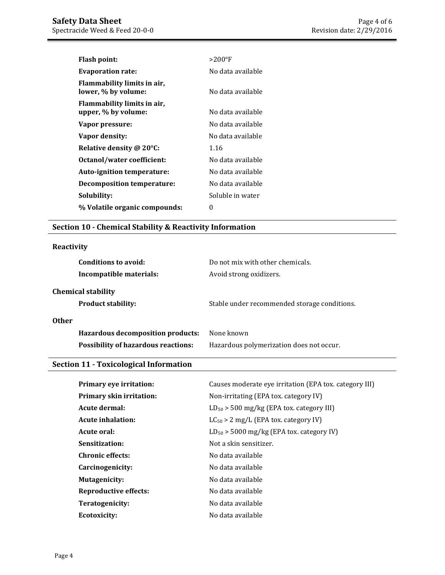| Flash point:                                       | $>$ 200°F         |
|----------------------------------------------------|-------------------|
| <b>Evaporation rate:</b>                           | No data available |
| Flammability limits in air,<br>lower, % by volume: | No data available |
| Flammability limits in air,<br>upper, % by volume: | No data available |
| Vapor pressure:                                    | No data available |
| Vapor density:                                     | No data available |
| Relative density @ 20°C:                           | 1.16              |
| Octanol/water coefficient:                         | No data available |
| Auto-ignition temperature:                         | No data available |
| Decomposition temperature:                         | No data available |
| Solubility:                                        | Soluble in water  |
| % Volatile organic compounds:                      | 0                 |

# **Section 10 - Chemical Stability & Reactivity Information**

# **Reactivity**

| Conditions to avoid:<br>Incompatible materials: | Do not mix with other chemicals.<br>Avoid strong oxidizers. |
|-------------------------------------------------|-------------------------------------------------------------|
| <b>Chemical stability</b>                       |                                                             |
| <b>Product stability:</b>                       | Stable under recommended storage conditions.                |
| <b>Other</b>                                    |                                                             |
| <b>Hazardous decomposition products:</b>        | None known                                                  |
| <b>Possibility of hazardous reactions:</b>      | Hazardous polymerization does not occur.                    |

#### **Section 11 - Toxicological Information**

| Primary eye irritation:      | Causes moderate eye irritation (EPA tox. category III) |
|------------------------------|--------------------------------------------------------|
| Primary skin irritation:     | Non-irritating (EPA tox. category IV)                  |
| Acute dermal:                | $LD_{50}$ > 500 mg/kg (EPA tox. category III)          |
| <b>Acute inhalation:</b>     | $LC_{50} > 2$ mg/L (EPA tox. category IV)              |
| Acute oral:                  | $LD_{50}$ > 5000 mg/kg (EPA tox. category IV)          |
| Sensitization:               | Not a skin sensitizer.                                 |
| <b>Chronic effects:</b>      | No data available                                      |
| Carcinogenicity:             | No data available                                      |
| Mutagenicity:                | No data available                                      |
| <b>Reproductive effects:</b> | No data available                                      |
| Teratogenicity:              | No data available                                      |
| Ecotoxicity:                 | No data available                                      |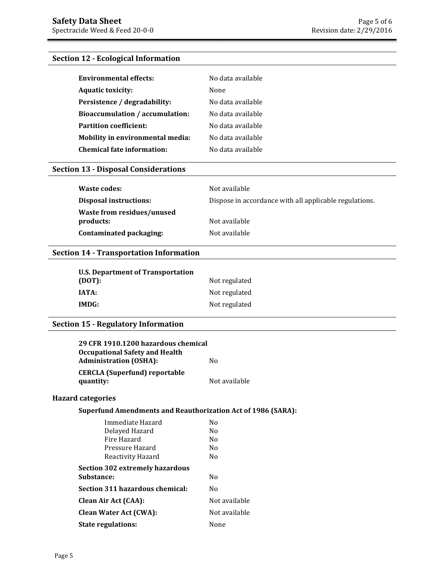# **Section 12 - Ecological Information**

| <b>Environmental effects:</b>     | No data available |
|-----------------------------------|-------------------|
| <b>Aquatic toxicity:</b>          | None              |
| Persistence / degradability:      | No data available |
| Bioaccumulation / accumulation:   | No data available |
| <b>Partition coefficient:</b>     | No data available |
| Mobility in environmental media:  | No data available |
| <b>Chemical fate information:</b> | No data available |

# **Section 13 - Disposal Considerations**

| Waste codes:                  | Not available                                          |
|-------------------------------|--------------------------------------------------------|
| <b>Disposal instructions:</b> | Dispose in accordance with all applicable regulations. |
| Waste from residues/unused    |                                                        |
| products:                     | Not available                                          |
| Contaminated packaging:       | Not available                                          |

# **Section 14 - Transportation Information**

| <b>U.S. Department of Transportation</b> |               |
|------------------------------------------|---------------|
| (DOT):                                   | Not regulated |
| <b>IATA:</b>                             | Not regulated |
| IMDG:                                    | Not regulated |

# **Section 15 - Regulatory Information**

| 29 CFR 1910.1200 hazardous chemical   |               |
|---------------------------------------|---------------|
| <b>Occupational Safety and Health</b> |               |
| <b>Administration (OSHA):</b>         | Nο            |
| <b>CERCLA</b> (Superfund) reportable  |               |
| quantity:                             | Not available |

### **Hazard categories**

### **Superfund Amendments and Reauthorization Act of 1986 (SARA):**

| Immediate Hazard                | No             |
|---------------------------------|----------------|
| Delayed Hazard                  | N <sub>0</sub> |
| Fire Hazard                     | N <sub>0</sub> |
| Pressure Hazard                 | No             |
| Reactivity Hazard               | N <sub>0</sub> |
| Section 302 extremely hazardous |                |
| <b>Substance:</b>               | No             |
| Section 311 hazardous chemical: | No             |
| <b>Clean Air Act (CAA):</b>     | Not available  |
| <b>Clean Water Act (CWA):</b>   | Not available  |
| <b>State regulations:</b>       | None           |